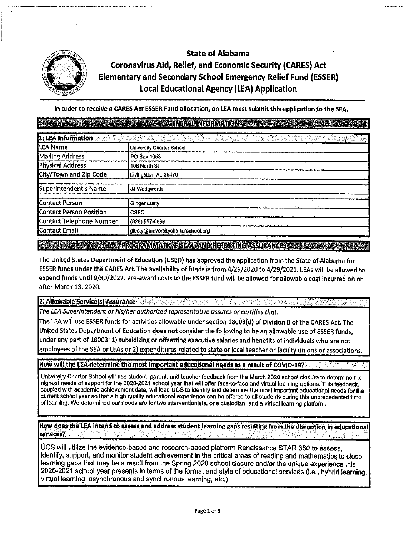

# State of Alabama Coronavirus Aid, Relief, and Economic Security (CARES) Act Elementary and Secondary School Emergency Relief Fund **(ESSER)**  Local Educational Agency (LEA) Application

|                                | <b>GENERAL INFORMATION</b>                   |
|--------------------------------|----------------------------------------------|
| 1. LEA Information             |                                              |
| LEA Name                       | University Charter School                    |
| <b>Mailing Address</b>         | PO Box 1053                                  |
| <b>Physical Address</b>        | 108 North St                                 |
| City/Town and Zip Code         | Livingston, AL 35470                         |
| Superintendent's Name          | JJ Wedgworth                                 |
| <b>Contact Person</b>          | Ginger Lusty                                 |
| <b>Contact Person Position</b> | <b>CSFO</b>                                  |
| Contact Telephone Number       | (828) 557-0899                               |
| Contact Email                  | glusty@universitycharterschool.org           |
|                                | PROGRAMMATIC FISCAL AND REPORTING ASSURANCES |

The United States Department of Education (USED) has approved the application from the State of Alabama for ESSER funds under the CARES Act. The avallablllty of funds Is from 4/29/2020 to 4/29/2021. LEAs will be allowed to expend funds until 9/30/2022. Pre-award costs to the ESSER fund will be allowed for allowable cost Incurred on or after March 13, 2020.

**2. Allowable Service(s) Assurance** 

*The LEA Superintendent or his/her authorized representative assures or certifies that:* 

The LEA will use ESSER funds for activities allowable under section 18003(d) of Division B of the CARES Act. The United States Department of Education **does not** consider the following to be an allowable use of ESSER funds, under any part of 18003: 1) subsidizing or offsetting executive salaries and benefits of individuals who are not employees of the SEA or LEAs or 2) expenditures related to state or local teacher or faculty unions or associations.

How will the LEA determine the most important educational needs as a result of COVID-19?

University Charter School will use student, parent, and teacher feedback from the March 2020 school closure to determine the highest needs of support for the 2020-2021 school year that will offer face-to-face and virtual learning options. This feedback, coupled with academic achievement data, will lead UCS to Identify and determine the most Important educational needs for the current school year so that a high quality educational experience can be offered to all students during this unprecedented time of learning. We determined our needs are for two Interventionists, one custodian, and a virtual learning platform.

How does the LEA intend to assess and address student learning gaps resulting from the disruption in educational<br>services?

UCS will utilize the evidence-based and research-based platform Renaissance STAR 360 to assess, Identify, support, and monitor student achievement in the critical areas of reading and mathematics to close learning gaps that may be a result from the Spring 2020 school closure and/or the unique experience this 2020-2021 school year presents in terms of the format and style of educational services (i.e., hybrid learning, virtual learning, asynchronous and synchronous learning, etc.)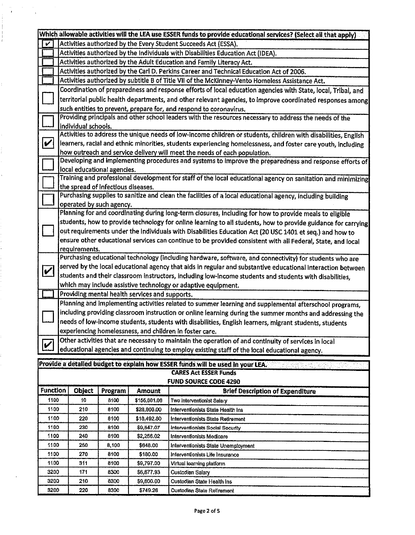|                              |                                                                                                                                                                                                       |                                                                                                            |                                    |                                                | Which allowable activities will the LEA use ESSER funds to provide educational services? (Select all that apply) |  |  |  |  |
|------------------------------|-------------------------------------------------------------------------------------------------------------------------------------------------------------------------------------------------------|------------------------------------------------------------------------------------------------------------|------------------------------------|------------------------------------------------|------------------------------------------------------------------------------------------------------------------|--|--|--|--|
| V                            | Activities authorized by the Every Student Succeeds Act (ESSA).                                                                                                                                       |                                                                                                            |                                    |                                                |                                                                                                                  |  |  |  |  |
|                              | Activities authorized by the Individuals with Disabilities Education Act (IDEA).                                                                                                                      |                                                                                                            |                                    |                                                |                                                                                                                  |  |  |  |  |
|                              | Activities authorized by the Adult Education and Family Literacy Act.                                                                                                                                 |                                                                                                            |                                    |                                                |                                                                                                                  |  |  |  |  |
|                              |                                                                                                                                                                                                       |                                                                                                            |                                    |                                                | Activities authorized by the Carl D. Perkins Career and Technical Education Act of 2006.                         |  |  |  |  |
|                              | Activities authorized by subtitle B of Title VII of the McKinney-Vento Homeless Assistance Act.                                                                                                       |                                                                                                            |                                    |                                                |                                                                                                                  |  |  |  |  |
|                              | Coordination of preparedness and response efforts of local education agencies with State, local, Tribal, and                                                                                          |                                                                                                            |                                    |                                                |                                                                                                                  |  |  |  |  |
|                              |                                                                                                                                                                                                       |                                                                                                            |                                    |                                                |                                                                                                                  |  |  |  |  |
|                              |                                                                                                                                                                                                       | territorial public health departments, and other relevant agencies, to improve coordinated responses among |                                    |                                                |                                                                                                                  |  |  |  |  |
|                              | such entities to prevent, prepare for, and respond to coronavirus.                                                                                                                                    |                                                                                                            |                                    |                                                |                                                                                                                  |  |  |  |  |
|                              | Providing principals and other school leaders with the resources necessary to address the needs of the<br>Individual schools.                                                                         |                                                                                                            |                                    |                                                |                                                                                                                  |  |  |  |  |
|                              |                                                                                                                                                                                                       |                                                                                                            |                                    |                                                | Activities to address the unique needs of low-income children or students, children with disabilities, English   |  |  |  |  |
| $\boldsymbol{v}$             |                                                                                                                                                                                                       |                                                                                                            |                                    |                                                | learners, racial and ethnic minorities, students experiencing homelessness, and foster care youth, including     |  |  |  |  |
|                              |                                                                                                                                                                                                       |                                                                                                            |                                    |                                                | how outreach and service delivery will meet the needs of each population.                                        |  |  |  |  |
|                              |                                                                                                                                                                                                       |                                                                                                            |                                    |                                                | Developing and implementing procedures and systems to improve the preparedness and response efforts of           |  |  |  |  |
|                              |                                                                                                                                                                                                       |                                                                                                            | local educational agencies.        |                                                |                                                                                                                  |  |  |  |  |
|                              |                                                                                                                                                                                                       |                                                                                                            |                                    |                                                | Training and professional development for staff of the local educational agency on sanitation and minimizing     |  |  |  |  |
|                              |                                                                                                                                                                                                       |                                                                                                            | the spread of infectious diseases. |                                                |                                                                                                                  |  |  |  |  |
|                              |                                                                                                                                                                                                       |                                                                                                            |                                    |                                                | Purchasing supplies to sanitize and clean the facilities of a local educational agency, including building       |  |  |  |  |
|                              |                                                                                                                                                                                                       |                                                                                                            | operated by such agency.           |                                                |                                                                                                                  |  |  |  |  |
|                              |                                                                                                                                                                                                       |                                                                                                            |                                    |                                                | Planning for and coordinating during long-term closures, including for how to provide meals to eligible          |  |  |  |  |
|                              |                                                                                                                                                                                                       |                                                                                                            |                                    |                                                | students, how to provide technology for online learning to all students, how to provide guidance for carrying    |  |  |  |  |
|                              |                                                                                                                                                                                                       |                                                                                                            |                                    |                                                | out requirements under the Individuals with Disabilities Education Act (20 USC 1401 et seq.) and how to          |  |  |  |  |
|                              |                                                                                                                                                                                                       |                                                                                                            |                                    |                                                | ensure other educational services can continue to be provided consistent with all Federal, State, and local      |  |  |  |  |
|                              |                                                                                                                                                                                                       | requirements.                                                                                              |                                    |                                                |                                                                                                                  |  |  |  |  |
|                              |                                                                                                                                                                                                       |                                                                                                            |                                    |                                                | Purchasing educational technology (including hardware, software, and connectivity) for students who are          |  |  |  |  |
|                              |                                                                                                                                                                                                       |                                                                                                            |                                    |                                                | served by the local educational agency that aids in regular and substantive educational interaction between      |  |  |  |  |
| $\vert\bm{\mathsf{v}}\vert$  |                                                                                                                                                                                                       |                                                                                                            |                                    |                                                | students and their classroom instructors, including low-income students and students with disabilities,          |  |  |  |  |
|                              |                                                                                                                                                                                                       |                                                                                                            |                                    |                                                | which may include assistive technology or adaptive equipment.                                                    |  |  |  |  |
|                              |                                                                                                                                                                                                       |                                                                                                            |                                    | Providing mental health services and supports. |                                                                                                                  |  |  |  |  |
|                              |                                                                                                                                                                                                       |                                                                                                            |                                    |                                                | Planning and implementing activities related to summer learning and supplemental afterschool programs,           |  |  |  |  |
|                              |                                                                                                                                                                                                       |                                                                                                            |                                    |                                                |                                                                                                                  |  |  |  |  |
|                              | including providing classroom instruction or online learning during the summer months and addressing the                                                                                              |                                                                                                            |                                    |                                                |                                                                                                                  |  |  |  |  |
|                              | needs of low-income students, students with disabilities, English learners, migrant students, students                                                                                                |                                                                                                            |                                    |                                                |                                                                                                                  |  |  |  |  |
|                              | experiencing homelessness, and children in foster care.                                                                                                                                               |                                                                                                            |                                    |                                                |                                                                                                                  |  |  |  |  |
| $ \boldsymbol{\mathcal{V}} $ | Other activities that are necessary to maintain the operation of and continuity of services in local<br>educational agencies and continuing to employ existing staff of the local educational agency. |                                                                                                            |                                    |                                                |                                                                                                                  |  |  |  |  |
|                              |                                                                                                                                                                                                       |                                                                                                            |                                    |                                                |                                                                                                                  |  |  |  |  |
|                              |                                                                                                                                                                                                       |                                                                                                            |                                    |                                                | Provide a detailed budget to explain how ESSER funds will be used in your LEA.                                   |  |  |  |  |
|                              |                                                                                                                                                                                                       |                                                                                                            |                                    |                                                | <b>CARES Act ESSER Funds</b>                                                                                     |  |  |  |  |
|                              |                                                                                                                                                                                                       |                                                                                                            |                                    |                                                | <b>FUND SOURCE CODE 4290</b>                                                                                     |  |  |  |  |
| <b>Function</b>              |                                                                                                                                                                                                       | Object                                                                                                     | Program                            | Amount                                         | <b>Brief Description of Expenditure</b>                                                                          |  |  |  |  |
| 1100                         |                                                                                                                                                                                                       | 10                                                                                                         | 8100                               | \$155,601.06                                   | Two Interventionist Salary                                                                                       |  |  |  |  |
| 1100                         |                                                                                                                                                                                                       | 210                                                                                                        | 8100                               | \$28,800.00                                    | Interventionists State Health Ins                                                                                |  |  |  |  |
| 1100                         |                                                                                                                                                                                                       | 220                                                                                                        | 8100                               | \$18,492.80                                    | Interventionists State Retirement                                                                                |  |  |  |  |
| 1100                         |                                                                                                                                                                                                       | 230                                                                                                        | 8100                               | \$9,547.07                                     | Interventionists Social Security                                                                                 |  |  |  |  |
| 1100                         |                                                                                                                                                                                                       | 240                                                                                                        | 8100                               | \$2,256.02                                     | Interventionists Medicare                                                                                        |  |  |  |  |
| 1100                         |                                                                                                                                                                                                       | 250                                                                                                        | 8,100                              | \$648.00                                       | Interventionists State Unemployment                                                                              |  |  |  |  |
| 1100                         |                                                                                                                                                                                                       | 270                                                                                                        | 8100                               | \$180.00                                       | Interventionists Life Insurance                                                                                  |  |  |  |  |
| 1100                         |                                                                                                                                                                                                       | 311                                                                                                        | 8100                               | \$9,797.00                                     | Virtual learning platform                                                                                        |  |  |  |  |
| 3200                         |                                                                                                                                                                                                       | 171                                                                                                        | 8300                               | \$6,677.93                                     | Custodian Salary                                                                                                 |  |  |  |  |

3200 210 8300 \$9,600.00 Custodian State Health Ins 3200 220 8300 \$749.26 Custodian State Retirement

 $\sim$ 

 $\mathbb{R}^3$ 

 $\hat{\mathbf{v}}$ 

ř.

l,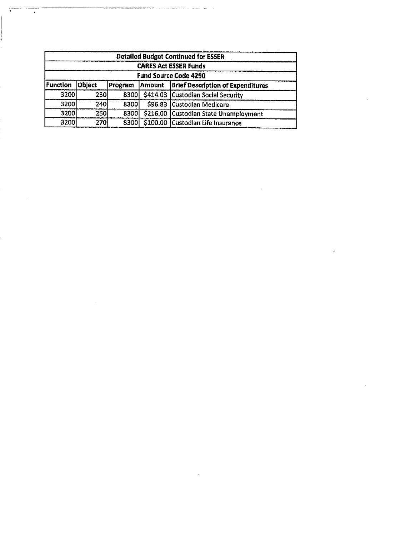| <b>Detailed Budget Continued for ESSER</b><br><b>CARES Act ESSER Funds</b> |            |                |        |                                          |  |  |  |                              |
|----------------------------------------------------------------------------|------------|----------------|--------|------------------------------------------|--|--|--|------------------------------|
|                                                                            |            |                |        |                                          |  |  |  | <b>Fund Source Code 4290</b> |
| Function                                                                   | Object     | <b>Program</b> | Amount | <b>Brief Description of Expenditures</b> |  |  |  |                              |
| 3200                                                                       | <b>230</b> | 8300           |        | \$414.03 Custodian Social Security       |  |  |  |                              |
| 3200                                                                       | <b>240</b> | 8300           |        | \$96.83 Custodian Medicare               |  |  |  |                              |
| 3200                                                                       | <b>250</b> | 8300           |        | \$216.00 Custodian State Unemployment    |  |  |  |                              |
| 3200                                                                       | 270        | 8300           |        | \$100.00 Custodian Life Insurance        |  |  |  |                              |

 $\mathcal{L}^{\text{max}}_{\text{max}}$  , where  $\mathcal{L}^{\text{max}}_{\text{max}}$ 

 $\mathcal{L}(\mathcal{L}^{\mathcal{L}})$  and  $\mathcal{L}^{\mathcal{L}}$  and  $\mathcal{L}^{\mathcal{L}}$  and  $\mathcal{L}^{\mathcal{L}}$ 

 $\label{eq:2.1} \frac{1}{\sqrt{2}}\int_{\mathbb{R}^3}\frac{1}{\sqrt{2}}\left(\frac{1}{\sqrt{2}}\right)^2\frac{1}{\sqrt{2}}\left(\frac{1}{\sqrt{2}}\right)^2\frac{1}{\sqrt{2}}\left(\frac{1}{\sqrt{2}}\right)^2\frac{1}{\sqrt{2}}\left(\frac{1}{\sqrt{2}}\right)^2.$ 

 $\mathcal{L}(\mathcal{L}^{\mathcal{L}})$  and  $\mathcal{L}(\mathcal{L}^{\mathcal{L}})$  and  $\mathcal{L}(\mathcal{L}^{\mathcal{L}})$  and  $\mathcal{L}(\mathcal{L}^{\mathcal{L}})$ 

 $\label{eq:2.1} \frac{1}{\sqrt{2}}\int_{\mathbb{R}^3}\frac{1}{\sqrt{2}}\left(\frac{1}{\sqrt{2}}\int_{\mathbb{R}^3}\frac{1}{\sqrt{2}}\left(\frac{1}{\sqrt{2}}\int_{\mathbb{R}^3}\frac{1}{\sqrt{2}}\right)\left(\frac{1}{\sqrt{2}}\int_{\mathbb{R}^3}\frac{1}{\sqrt{2}}\right)\left(\frac{1}{\sqrt{2}}\int_{\mathbb{R}^3}\frac{1}{\sqrt{2}}\int_{\mathbb{R}^3}\frac{1}{\sqrt{2}}\int_{\mathbb{R}^3}\frac{1}{\sqrt{2}}\left$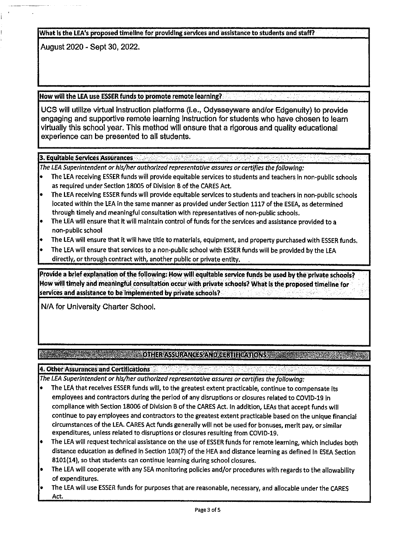What is the LEA's proposed timeline for providing services and assistance to students and staff?

August 2020 - Sept 30, 2022.

## How will the LEA use ESSER funds to promote remote learning?

UCS will utilize virtual Instruction platforms (i.e., Odysseyware and/or Edgenuity) to provide engaging and supportive remote learning Instruction for students who have chosen to learn virtually this school year. This method will ensure that a rigorous and quality educational experience can be presented to all students.

## 3. Equitable Services Assurances

*The LEA Superintendent or his/her authorized representative assures or certifies the following:* 

- The LEA receiving ESSER funds will provide equitable services to students and teachers in non-public schools as required under Section 18005 of Division B of the CARES Act.
- The LEA receiving ESSER funds will provide equitable services to students and teachers In non-public schools located within the LEA In the same manner as provided under Section 1117 of the ESEA, as determined through timely and meaningful consultation with representatives of non-public schools.
- The LEA will ensure that it will maintain control of funds for the services and assistance provided to a non-public school
- The LEA will ensure that it will have title to materials, equipment, and property purchased with ESSER funds.
- The LEA will ensure that services to a non-public school with ESSER funds will be provided by the LEA directly, or through contract with, another public or private entity.

Provide a brief explanation of the following: How will equitable service funds be used by the private schools? How will timely and meaningful consultation occur with private schools? What is the proposed timeline for services and assistance to be implemented by private schools?

N/A for University Charter School.

# **EXAMPLE 2008 AND CONTRACTS AND CERTIFICATIONS**

**4. Other Assurances and Certifications.** 

*The LEA Superintendent or his/her authorized representative assures or certifies the following:* 

- The LEA that receives ESSER funds will, to the greatest extent practicable, continue to compensate Its employees and contractors during the period of any disruptions or closures related to COVID-19 In compliance with Section 18006 of Division B of the CARES Act. In addition, LEAs that accept funds will continue to pay employees and contractors to the greatest extent practicable based on the unique financial circumstances of the LEA. CARES Act funds generally will not be used for bonuses, merit pay, or similar expenditures, unless related to disruptions or closures resulting from COVID-19,
- The LEA will request technical assistance on the use of ESSER funds for remote learning, which includes both distance education as defined in Section 103(7) of the HEA and distance learning as defined in ESEA Section 8101(14), so that students can continue learning during school closures.
- The LEA wlll cooperate with any SEA monitoring policies and/or procedures with regards to the allowabllity of expenditures.
- The LEA will use ESSER funds for purposes that are reasonable, necessary, and allocable under the CARES Act.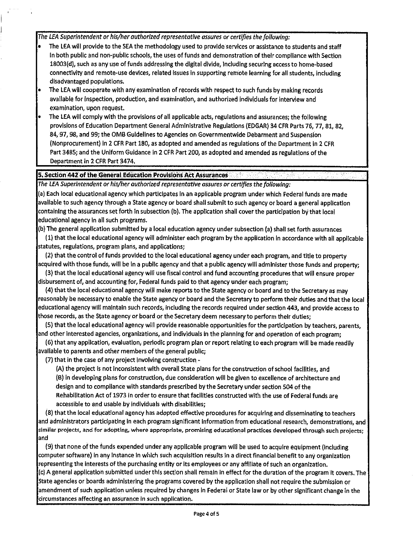*The LEA Superintendent or his/her authorized representative assures or certifies the following:* 

- The LEA will provide to the SEA the methodology used to provide services or assistance to students and staff In both public and non-public schools, the uses of funds and demonstration of their compliance with Section 18003(d), such as any use of funds addressing the digital divide, Including securing access to home-based connectivity and remote-use devices, related Issues in supporting remote learning for all students, including disadvantaged populations.
- The LEA will cooperate with any examination of records with respect to such funds by making records available for Inspection, production, and examination, and authorized Individuals for interview and examination, upon request.
- The LEA will comply with the provisions of all applicable acts, regulations and assurances; the following provisions of Education Department General Administrative Regulations (EDGAR) 34 CFR Parts 76, 77, 81, 82, 84, 97, 98, and 99; the 0MB Guidelines to Agencies on Governmentwlde Debarment and Suspension (Nonprocurement) In 2 CFR Part 180, as adopted and amended as regulations of the Department in 2 CFR Part 3485; and the Uniform Guidance in 2 CFR Part 200, as adopted and amended as regulations of the Department In 2 CFR Part 3474.

#### **5. Section 442 of the General Education Provisions Act Assurances**

*The LEA Superintendent or his/her authorized representative assures or certifies the following:* 

(a) Each local educational agency which participates in an applicable program under which Federal funds are made available to such agency through a State agency or board shall submit to such agency or board a general application containing the assurances set forth in subsection (b). The application shall cover the participation by that local educational agency In all such programs.

(b) The general application submitted by a local education agency under subsection (a) shall set forth assurances

(1) that the local educational agency will administer each program by the application in accordance with all applicable statutes, regulations, program plans, and applications;

(2) that the control of funds provided to the local educational agency under each program, and title to property acquired with those funds, will be in a public agency and that a public agency will administer those funds and property;

(3) that the local educational agency will use fiscal control and fund accounting procedures that wlll ensure proper disbursement of, and accounting for, Federal funds paid to that agency under each program;

(4) that the local educational agency will make reports to the State agency or board and to the Secretary as may reasonably be necessary to enable the State agency or board and the Secretary to perform their duties and that the local educational agency WIii maintain such records, Including the records required under section 443, and provide access to those records, as the State agency or board or the Secretary deem necessary to perform their duties;

(5) that the local educational agency will provide reasonable opportunities for the participation by teachers, parents, and other Interested agencies, organizations, and individuals in the planning for and operation of each program;

(6) that any application, evaluation, periodic program plan or report relating to each program wlli be made readily available to parents and other members of the general public;

(7) that in the case of any project Involving construction •

(A) the project is not Inconsistent with overall State plans for the construction of school facilities, and (B) In developing plans for construction, due consideration wlli be given to excellence of architecture and design and to compliance With standards prescribed by the Secretary under section 504 of the Rehabilitation Act of 1973 in order to ensure that facilities constructed with the use of Federal funds are accessible to and usable by Individuals with disabilities;

(8) that the local educational agency has adopted effective procedures for acquiring and disseminating to teachers and administrators participating in each program significant information from educational research, demonstrations, and similar projects, and for adopting, where appropriate, promising educational practices developed through such projects; and

(9) that none of the funds expended under any applicable program will be used to acquire equipment (including computer software) in any instance In which such acquisition results In a direct financial benefit to any organization representing the interests of the purchasing entity or its employees or any affiliate of such an organization. (c) A general application submitted under this section shall remain In effect for the duration of the program It covers. The State agencies or boards administering the programs covered by the application shall not require the submission or amendment of such application unless required by changes In Federal or State law or by other significant change In the circumstances affecting an assurance In such application.